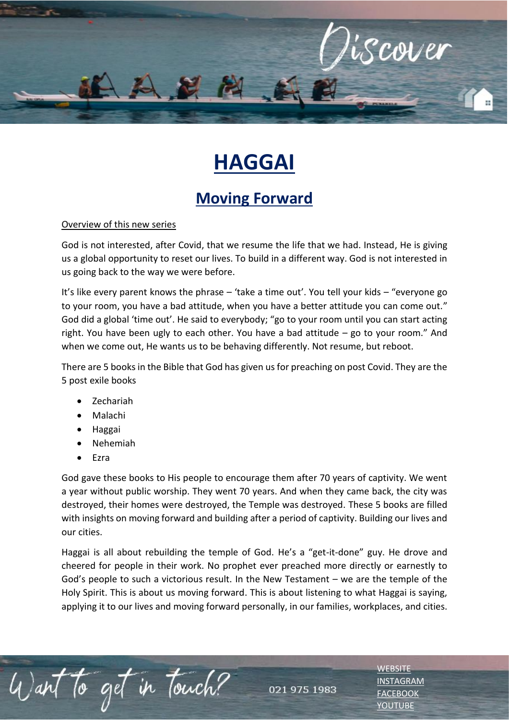

## **HAGGAI**

## **Moving Forward**

## Overview of this new series

God is not interested, after Covid, that we resume the life that we had. Instead, He is giving us a global opportunity to reset our lives. To build in a different way. God is not interested in us going back to the way we were before.

It's like every parent knows the phrase – 'take a time out'. You tell your kids – "everyone go to your room, you have a bad attitude, when you have a better attitude you can come out." God did a global 'time out'. He said to everybody; "go to your room until you can start acting right. You have been ugly to each other. You have a bad attitude – go to your room." And when we come out, He wants us to be behaving differently. Not resume, but reboot.

There are 5 books in the Bible that God has given us for preaching on post Covid. They are the 5 post exile books

- Zechariah
- Malachi
- Haggai
- Nehemiah

to get in Touch?

• Ezra

God gave these books to His people to encourage them after 70 years of captivity. We went a year without public worship. They went 70 years. And when they came back, the city was destroyed, their homes were destroyed, the Temple was destroyed. These 5 books are filled with insights on moving forward and building after a period of captivity. Building our lives and our cities.

Haggai is all about rebuilding the temple of God. He's a "get-it-done" guy. He drove and cheered for people in their work. No prophet ever preached more directly or earnestly to God's people to such a victorious result. In the New Testament – we are the temple of the Holy Spirit. This is about us moving forward. This is about listening to what Haggai is saying, applying it to our lives and moving forward personally, in our families, workplaces, and cities.

021 975 1983

**[WEBSITE](http://www.escc.co.za/)** [INSTAGRAM](https://www.instagram.com/esccdurbanville/) [FACEBOOK](https://www.facebook.com/escc.za) [YOUTUBE](https://www.youtube.com/c/ESCCDurbanvilleV)